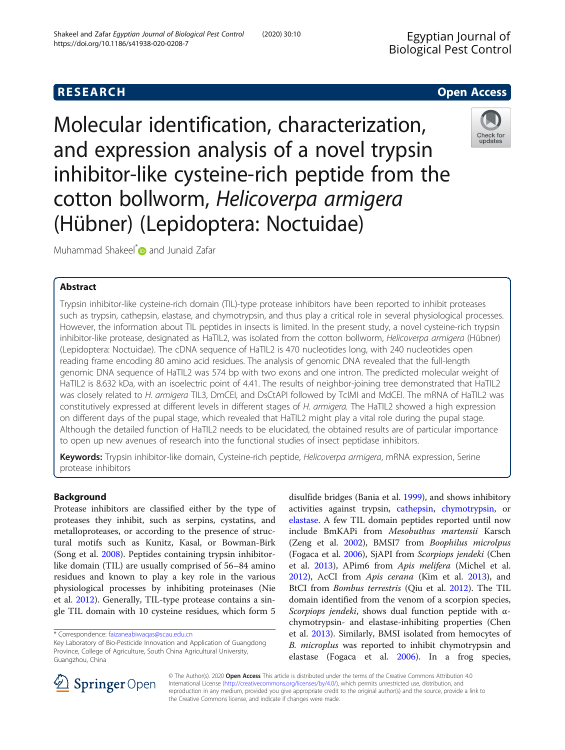# **RESEARCH CHE Open Access**

Molecular identification, characterization, and expression analysis of a novel trypsin inhibitor-like cysteine-rich peptide from the cotton bollworm, Helicoverpa armigera (Hübner) (Lepidoptera: Noctuidae)



Muhammad Shakeel<sup>[\\*](http://orcid.org/0000-0002-8515-0053)</sup> and Junaid Zafar

## Abstract

Trypsin inhibitor-like cysteine-rich domain (TIL)-type protease inhibitors have been reported to inhibit proteases such as trypsin, cathepsin, elastase, and chymotrypsin, and thus play a critical role in several physiological processes. However, the information about TIL peptides in insects is limited. In the present study, a novel cysteine-rich trypsin inhibitor-like protease, designated as HaTIL2, was isolated from the cotton bollworm, Helicoverpa armigera (Hübner) (Lepidoptera: Noctuidae). The cDNA sequence of HaTIL2 is 470 nucleotides long, with 240 nucleotides open reading frame encoding 80 amino acid residues. The analysis of genomic DNA revealed that the full-length genomic DNA sequence of HaTIL2 was 574 bp with two exons and one intron. The predicted molecular weight of HaTIL2 is 8.632 kDa, with an isoelectric point of 4.41. The results of neighbor-joining tree demonstrated that HaTIL2 was closely related to H. armigera TIL3, DmCEI, and DsCtAPI followed by TcIMI and MdCEI. The mRNA of HaTIL2 was constitutively expressed at different levels in different stages of H. armigera. The HaTIL2 showed a high expression on different days of the pupal stage, which revealed that HaTIL2 might play a vital role during the pupal stage. Although the detailed function of HaTIL2 needs to be elucidated, the obtained results are of particular importance to open up new avenues of research into the functional studies of insect peptidase inhibitors.

Keywords: Trypsin inhibitor-like domain, Cysteine-rich peptide, Helicoverpa armigera, mRNA expression, Serine protease inhibitors

## Background

Protease inhibitors are classified either by the type of proteases they inhibit, such as serpins, cystatins, and metalloproteases, or according to the presence of structural motifs such as Kunitz, Kasal, or Bowman-Birk (Song et al. [2008\)](#page-6-0). Peptides containing trypsin inhibitorlike domain (TIL) are usually comprised of 56–84 amino residues and known to play a key role in the various physiological processes by inhibiting proteinases (Nie et al. [2012\)](#page-6-0). Generally, TIL-type protease contains a single TIL domain with 10 cysteine residues, which form 5

disulfide bridges (Bania et al. [1999\)](#page-5-0), and shows inhibitory activities against trypsin, [cathepsin,](https://www.sciencedirect.com/topics/biochemistry-genetics-and-molecular-biology/cathepsin) [chymotrypsin](https://www.sciencedirect.com/topics/biochemistry-genetics-and-molecular-biology/chymotrypsin), or [elastase.](https://www.sciencedirect.com/topics/biochemistry-genetics-and-molecular-biology/elastase) A few TIL domain peptides reported until now include BmKAPi from Mesobuthus martensii Karsch (Zeng et al. [2002](#page-6-0)), BMSI7 from Boophilus microlpus (Fogaca et al. [2006](#page-6-0)), SjAPI from Scorpiops jendeki (Chen et al. [2013](#page-6-0)), APim6 from Apis melifera (Michel et al. [2012](#page-6-0)), AcCI from Apis cerana (Kim et al. [2013](#page-6-0)), and BtCI from Bombus terrestris (Qiu et al. [2012\)](#page-6-0). The TIL domain identified from the venom of a scorpion species, Scorpiops jendeki, shows dual function peptide with  $\alpha$ chymotrypsin- and elastase-inhibiting properties (Chen et al. [2013](#page-6-0)). Similarly, BMSI isolated from hemocytes of B. microplus was reported to inhibit chymotrypsin and elastase (Fogaca et al. [2006](#page-6-0)). In a frog species,



© The Author(s). 2020 Open Access This article is distributed under the terms of the Creative Commons Attribution 4.0 International License ([http://creativecommons.org/licenses/by/4.0/\)](http://creativecommons.org/licenses/by/4.0/), which permits unrestricted use, distribution, and reproduction in any medium, provided you give appropriate credit to the original author(s) and the source, provide a link to the Creative Commons license, and indicate if changes were made.

<sup>\*</sup> Correspondence: [faizaneabiwaqas@scau.edu.cn](mailto:faizaneabiwaqas@scau.edu.cn)

Key Laboratory of Bio-Pesticide Innovation and Application of Guangdong Province, College of Agriculture, South China Agricultural University, Guangzhou, China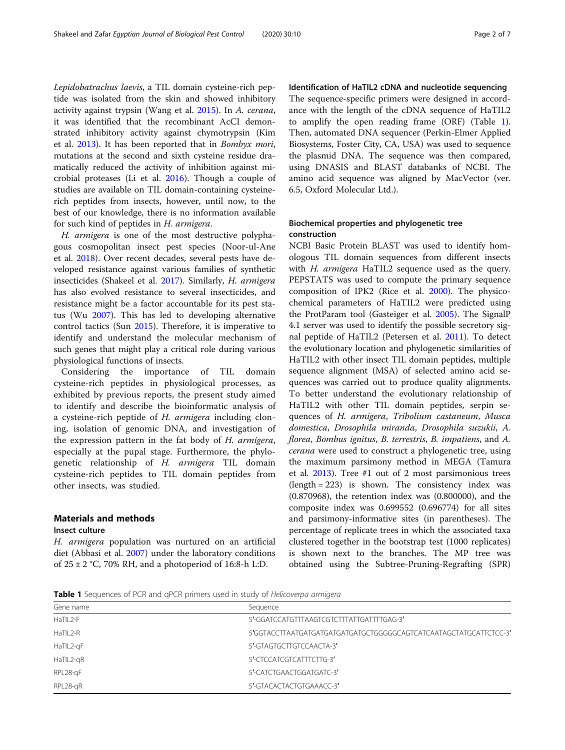<span id="page-1-0"></span>Lepidobatrachus laevis, a TIL domain cysteine-rich peptide was isolated from the skin and showed inhibitory activity against trypsin (Wang et al. [2015\)](#page-6-0). In A. cerana, it was identified that the recombinant AcCI demonstrated inhibitory activity against chymotrypsin (Kim et al. [2013](#page-6-0)). It has been reported that in Bombyx mori, mutations at the second and sixth cysteine residue dramatically reduced the activity of inhibition against microbial proteases (Li et al. [2016](#page-6-0)). Though a couple of studies are available on TIL domain-containing cysteinerich peptides from insects, however, until now, to the best of our knowledge, there is no information available for such kind of peptides in H. armigera.

H. armigera is one of the most destructive polyphagous cosmopolitan insect pest species (Noor-ul-Ane et al. [2018](#page-6-0)). Over recent decades, several pests have developed resistance against various families of synthetic insecticides (Shakeel et al. [2017](#page-6-0)). Similarly, H. armigera has also evolved resistance to several insecticides, and resistance might be a factor accountable for its pest status (Wu [2007\)](#page-6-0). This has led to developing alternative control tactics (Sun [2015](#page-6-0)). Therefore, it is imperative to identify and understand the molecular mechanism of such genes that might play a critical role during various physiological functions of insects.

Considering the importance of TIL domain cysteine-rich peptides in physiological processes, as exhibited by previous reports, the present study aimed to identify and describe the bioinformatic analysis of a cysteine-rich peptide of H. armigera including cloning, isolation of genomic DNA, and investigation of the expression pattern in the fat body of H. armigera, especially at the pupal stage. Furthermore, the phylogenetic relationship of H. armigera TIL domain cysteine-rich peptides to TIL domain peptides from other insects, was studied.

## Materials and methods

## Insect culture

H. armigera population was nurtured on an artificial diet (Abbasi et al. [2007\)](#page-5-0) under the laboratory conditions of  $25 \pm 2$  °C, 70% RH, and a photoperiod of 16:8-h L:D.

Identification of HaTIL2 cDNA and nucleotide sequencing The sequence-specific primers were designed in accordance with the length of the cDNA sequence of HaTIL2 to amplify the open reading frame (ORF) (Table 1). Then, automated DNA sequencer (Perkin-Elmer Applied Biosystems, Foster City, CA, USA) was used to sequence the plasmid DNA. The sequence was then compared, using DNASIS and BLAST databanks of NCBI. The amino acid sequence was aligned by MacVector (ver. 6.5, Oxford Molecular Ltd.).

## Biochemical properties and phylogenetic tree construction

NCBI Basic Protein BLAST was used to identify homologous TIL domain sequences from different insects with H. armigera HaTIL2 sequence used as the query. PEPSTATS was used to compute the primary sequence composition of IPK2 (Rice et al. [2000](#page-6-0)). The physicochemical parameters of HaTIL2 were predicted using the ProtParam tool (Gasteiger et al. [2005\)](#page-6-0). The SignalP 4.1 server was used to identify the possible secretory signal peptide of HaTIL2 (Petersen et al. [2011](#page-6-0)). To detect the evolutionary location and phylogenetic similarities of HaTIL2 with other insect TIL domain peptides, multiple sequence alignment (MSA) of selected amino acid sequences was carried out to produce quality alignments. To better understand the evolutionary relationship of HaTIL2 with other TIL domain peptides, serpin sequences of H. armigera, Tribolium castaneum, Musca domestica, Drosophila miranda, Drosophila suzukii, A. florea, Bombus ignitus, B. terrestris, B. impatiens, and A. cerana were used to construct a phylogenetic tree, using the maximum parsimony method in MEGA (Tamura et al. [2013](#page-6-0)). Tree #1 out of 2 most parsimonious trees (length = 223) is shown. The consistency index was (0.870968), the retention index was (0.800000), and the composite index was 0.699552 (0.696774) for all sites and parsimony-informative sites (in parentheses). The percentage of replicate trees in which the associated taxa clustered together in the bootstrap test (1000 replicates) is shown next to the branches. The MP tree was obtained using the Subtree-Pruning-Regrafting (SPR)

Table 1 Sequences of PCR and qPCR primers used in study of Helicoverpa armigera

| Gene name   | Sequence                                                          |
|-------------|-------------------------------------------------------------------|
| HaTIL2-F    | 5'-GGATCCATGTTTAAGTCGTCTTTATTGATTTTGAG-3'                         |
| $HaTII 2-R$ | 5'GGTACCTTAATGATGATGATGATGATGCTGGGGGCAGTCATCAATAGCTATGCATTCTCC-3' |
| HaTIL2-gF   | 5'-GTAGTGCTTGTCCAACTA-3'                                          |
| HaTIL2-gR   | 5'-CTCCATCGTCATTTCTTG-3'                                          |
| RPL28-qF    | 5'-CATCTGAACTGGATGATC-3'                                          |
| RPL28-gR    | 5'-GTACACTACTGTGAAACC-3'                                          |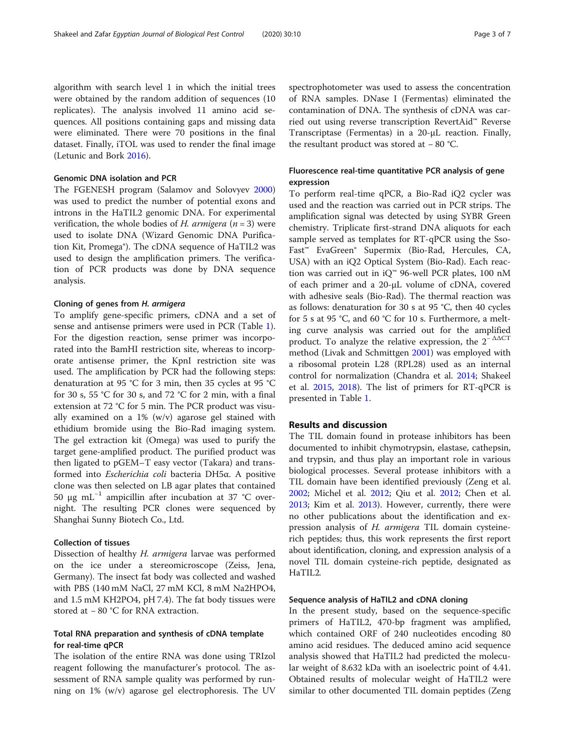algorithm with search level 1 in which the initial trees were obtained by the random addition of sequences (10 replicates). The analysis involved 11 amino acid sequences. All positions containing gaps and missing data were eliminated. There were 70 positions in the final dataset. Finally, iTOL was used to render the final image (Letunic and Bork [2016\)](#page-6-0).

#### Genomic DNA isolation and PCR

The FGENESH program (Salamov and Solovyev [2000](#page-6-0)) was used to predict the number of potential exons and introns in the HaTIL2 genomic DNA. For experimental verification, the whole bodies of H. armigera  $(n = 3)$  were used to isolate DNA (Wizard Genomic DNA Purification Kit, Promega®). The cDNA sequence of HaTIL2 was used to design the amplification primers. The verification of PCR products was done by DNA sequence analysis.

#### Cloning of genes from H. armigera

To amplify gene-specific primers, cDNA and a set of sense and antisense primers were used in PCR (Table [1](#page-1-0)). For the digestion reaction, sense primer was incorporated into the BamHI restriction site, whereas to incorporate antisense primer, the KpnI restriction site was used. The amplification by PCR had the following steps: denaturation at 95 °C for 3 min, then 35 cycles at 95 °C for 30 s, 55 °C for 30 s, and 72 °C for 2 min, with a final extension at 72 °C for 5 min. The PCR product was visually examined on a 1% (w/v) agarose gel stained with ethidium bromide using the Bio-Rad imaging system. The gel extraction kit (Omega) was used to purify the target gene-amplified product. The purified product was then ligated to pGEM–T easy vector (Takara) and transformed into Escherichia coli bacteria DH5α. A positive clone was then selected on LB agar plates that contained 50 μg mL<sup>-1</sup> ampicillin after incubation at 37 °C overnight. The resulting PCR clones were sequenced by Shanghai Sunny Biotech Co., Ltd.

## Collection of tissues

Dissection of healthy H. armigera larvae was performed on the ice under a stereomicroscope (Zeiss, Jena, Germany). The insect fat body was collected and washed with PBS (140 mM NaCl, 27 mM KCl, 8 mM Na2HPO4, and 1.5 mM KH2PO4, pH 7.4). The fat body tissues were stored at − 80 °C for RNA extraction.

## Total RNA preparation and synthesis of cDNA template for real-time qPCR

The isolation of the entire RNA was done using TRIzol reagent following the manufacturer's protocol. The assessment of RNA sample quality was performed by running on 1% (w/v) agarose gel electrophoresis. The UV spectrophotometer was used to assess the concentration of RNA samples. DNase I (Fermentas) eliminated the contamination of DNA. The synthesis of cDNA was carried out using reverse transcription RevertAid™ Reverse Transcriptase (Fermentas) in a 20-μL reaction. Finally, the resultant product was stored at − 80 °C.

## Fluorescence real-time quantitative PCR analysis of gene expression

To perform real-time qPCR, a Bio-Rad iQ2 cycler was used and the reaction was carried out in PCR strips. The amplification signal was detected by using SYBR Green chemistry. Triplicate first-strand DNA aliquots for each sample served as templates for RT-qPCR using the Sso-Fast™ EvaGreen® Supermix (Bio-Rad, Hercules, CA, USA) with an iQ2 Optical System (Bio-Rad). Each reaction was carried out in iQ™ 96-well PCR plates, 100 nM of each primer and a 20-μL volume of cDNA, covered with adhesive seals (Bio-Rad). The thermal reaction was as follows: denaturation for 30 s at 95 °C, then 40 cycles for 5 s at 95 °C, and 60 °C for 10 s. Furthermore, a melting curve analysis was carried out for the amplified product. To analyze the relative expression, the  $2^{-\Delta\Delta CT}$ method (Livak and Schmittgen [2001](#page-6-0)) was employed with a ribosomal protein L28 (RPL28) used as an internal control for normalization (Chandra et al. [2014](#page-6-0); Shakeel et al. [2015](#page-6-0), [2018](#page-6-0)). The list of primers for RT-qPCR is presented in Table [1](#page-1-0).

## Results and discussion

The TIL domain found in protease inhibitors has been documented to inhibit chymotrypsin, elastase, cathepsin, and trypsin, and thus play an important role in various biological processes. Several protease inhibitors with a TIL domain have been identified previously (Zeng et al. [2002](#page-6-0); Michel et al. [2012](#page-6-0); Qiu et al. [2012;](#page-6-0) Chen et al. [2013](#page-6-0); Kim et al. [2013\)](#page-6-0). However, currently, there were no other publications about the identification and expression analysis of H. armigera TIL domain cysteinerich peptides; thus, this work represents the first report about identification, cloning, and expression analysis of a novel TIL domain cysteine-rich peptide, designated as HaTIL2.

## Sequence analysis of HaTIL2 and cDNA cloning

In the present study, based on the sequence-specific primers of HaTIL2, 470-bp fragment was amplified, which contained ORF of 240 nucleotides encoding 80 amino acid residues. The deduced amino acid sequence analysis showed that HaTIL2 had predicted the molecular weight of 8.632 kDa with an isoelectric point of 4.41. Obtained results of molecular weight of HaTIL2 were similar to other documented TIL domain peptides (Zeng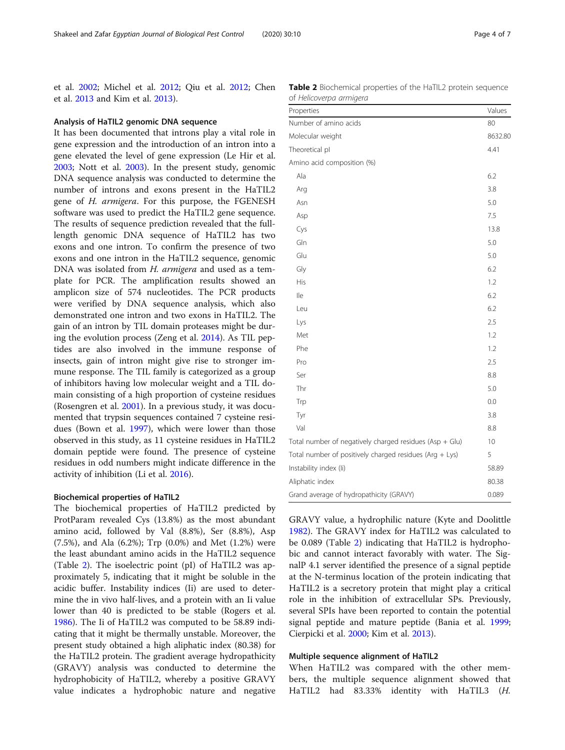et al. [2002;](#page-6-0) Michel et al. [2012;](#page-6-0) Qiu et al. [2012;](#page-6-0) Chen et al. [2013](#page-6-0) and Kim et al. [2013](#page-6-0)).

#### Analysis of HaTIL2 genomic DNA sequence

It has been documented that introns play a vital role in gene expression and the introduction of an intron into a gene elevated the level of gene expression (Le Hir et al. [2003](#page-6-0); Nott et al. [2003\)](#page-6-0). In the present study, genomic DNA sequence analysis was conducted to determine the number of introns and exons present in the HaTIL2 gene of H. armigera. For this purpose, the FGENESH software was used to predict the HaTIL2 gene sequence. The results of sequence prediction revealed that the fulllength genomic DNA sequence of HaTIL2 has two exons and one intron. To confirm the presence of two exons and one intron in the HaTIL2 sequence, genomic DNA was isolated from H. armigera and used as a template for PCR. The amplification results showed an amplicon size of 574 nucleotides. The PCR products were verified by DNA sequence analysis, which also demonstrated one intron and two exons in HaTIL2. The gain of an intron by TIL domain proteases might be during the evolution process (Zeng et al. [2014\)](#page-6-0). As TIL peptides are also involved in the immune response of insects, gain of intron might give rise to stronger immune response. The TIL family is categorized as a group of inhibitors having low molecular weight and a TIL domain consisting of a high proportion of cysteine residues (Rosengren et al. [2001](#page-6-0)). In a previous study, it was documented that trypsin sequences contained 7 cysteine residues (Bown et al. [1997](#page-5-0)), which were lower than those observed in this study, as 11 cysteine residues in HaTIL2 domain peptide were found. The presence of cysteine residues in odd numbers might indicate difference in the activity of inhibition (Li et al. [2016\)](#page-6-0).

#### Biochemical properties of HaTIL2

The biochemical properties of HaTIL2 predicted by ProtParam revealed Cys (13.8%) as the most abundant amino acid, followed by Val (8.8%), Ser (8.8%), Asp (7.5%), and Ala (6.2%); Trp (0.0%) and Met (1.2%) were the least abundant amino acids in the HaTIL2 sequence (Table 2). The isoelectric point (pI) of HaTIL2 was approximately 5, indicating that it might be soluble in the acidic buffer. Instability indices (Ii) are used to determine the in vivo half-lives, and a protein with an Ii value lower than 40 is predicted to be stable (Rogers et al. [1986](#page-6-0)). The Ii of HaTIL2 was computed to be 58.89 indicating that it might be thermally unstable. Moreover, the present study obtained a high aliphatic index (80.38) for the HaTIL2 protein. The gradient average hydropathicity (GRAVY) analysis was conducted to determine the hydrophobicity of HaTIL2, whereby a positive GRAVY value indicates a hydrophobic nature and negative

| Table 2 Biochemical properties of the HaTIL2 protein sequence |  |  |
|---------------------------------------------------------------|--|--|
| of Helicoverpa armigera                                       |  |  |

| Properties                                              | Values  |
|---------------------------------------------------------|---------|
| Number of amino acids                                   | 80      |
| Molecular weight                                        | 8632.80 |
| Theoretical pl                                          | 4.41    |
| Amino acid composition (%)                              |         |
| Ala                                                     | 6.2     |
| Arg                                                     | 3.8     |
| Asn                                                     | 5.0     |
| Asp                                                     | 7.5     |
| Cys                                                     | 13.8    |
| Gln                                                     | 5.0     |
| Glu                                                     | 5.0     |
| Gly                                                     | 6.2     |
| His                                                     | 1.2     |
| lle                                                     | 6.2     |
| Leu                                                     | 6.2     |
| Lys                                                     | 2.5     |
| Met                                                     | 1.2     |
| Phe                                                     | 1.2     |
| Pro                                                     | 2.5     |
| Ser                                                     | 8.8     |
| Thr                                                     | 5.0     |
| Trp                                                     | 0.0     |
| Tyr                                                     | 3.8     |
| Val                                                     | 8.8     |
| Total number of negatively charged residues (Asp + Glu) | 10      |
| Total number of positively charged residues (Arg + Lys) |         |
| Instability index (li)                                  |         |
| Aliphatic index                                         |         |
| Grand average of hydropathicity (GRAVY)                 |         |

GRAVY value, a hydrophilic nature (Kyte and Doolittle [1982](#page-6-0)). The GRAVY index for HaTIL2 was calculated to be 0.089 (Table 2) indicating that HaTIL2 is hydrophobic and cannot interact favorably with water. The SignalP 4.1 server identified the presence of a signal peptide at the N-terminus location of the protein indicating that HaTIL2 is a secretory protein that might play a critical role in the inhibition of extracellular SPs. Previously, several SPIs have been reported to contain the potential signal peptide and mature peptide (Bania et al. [1999](#page-5-0); Cierpicki et al. [2000;](#page-6-0) Kim et al. [2013](#page-6-0)).

#### Multiple sequence alignment of HaTIL2

When HaTIL2 was compared with the other members, the multiple sequence alignment showed that HaTIL2 had 83.33% identity with HaTIL3 (H.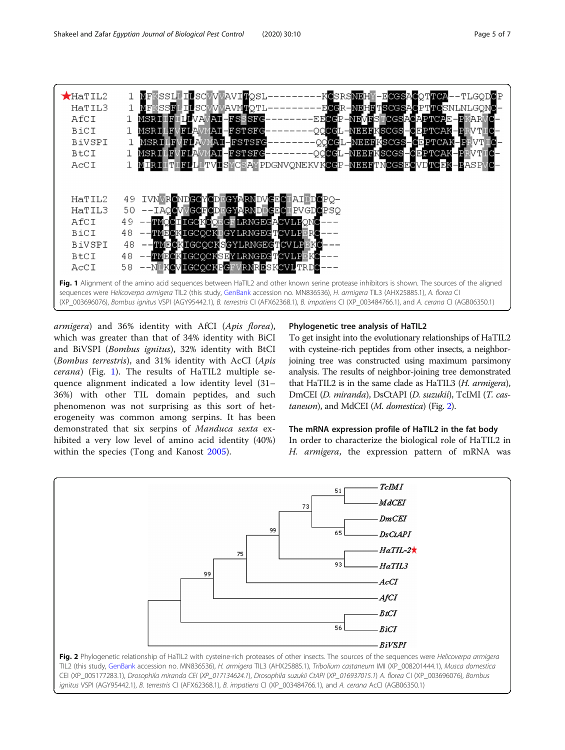

armigera) and 36% identity with AfCI (Apis florea), which was greater than that of 34% identity with BiCI and BiVSPI (Bombus ignitus), 32% identity with BtCI (Bombus terrestris), and 31% identity with AcCI (Apis cerana) (Fig. 1). The results of HaTIL2 multiple sequence alignment indicated a low identity level (31– 36%) with other TIL domain peptides, and such phenomenon was not surprising as this sort of heterogeneity was common among serpins. It has been demonstrated that six serpins of Manduca sexta exhibited a very low level of amino acid identity (40%) within the species (Tong and Kanost [2005\)](#page-6-0).

## Phylogenetic tree analysis of HaTIL2

To get insight into the evolutionary relationships of HaTIL2 with cysteine-rich peptides from other insects, a neighborjoining tree was constructed using maximum parsimony analysis. The results of neighbor-joining tree demonstrated that HaTIL2 is in the same clade as HaTIL3 (H. armigera), DmCEI (D. miranda), DsCtAPI (D. suzukii), TcIMI (T. castaneum), and MdCEI (M. domestica) (Fig. 2).

## The mRNA expression profile of HaTIL2 in the fat body

In order to characterize the biological role of HaTIL2 in H. armigera, the expression pattern of mRNA was



CEI (XP\_005177283.1), Drosophila miranda CEI (XP\_017134624.1), Drosophila suzukii CtAPI (XP\_016937015.1) A. florea CI (XP\_003696076), Bombus ignitus VSPI (AGY95442.1), B. terrestris CI (AFX62368.1), B. impatiens CI (XP\_003484766.1), and A. cerana AcCI (AGB06350.1)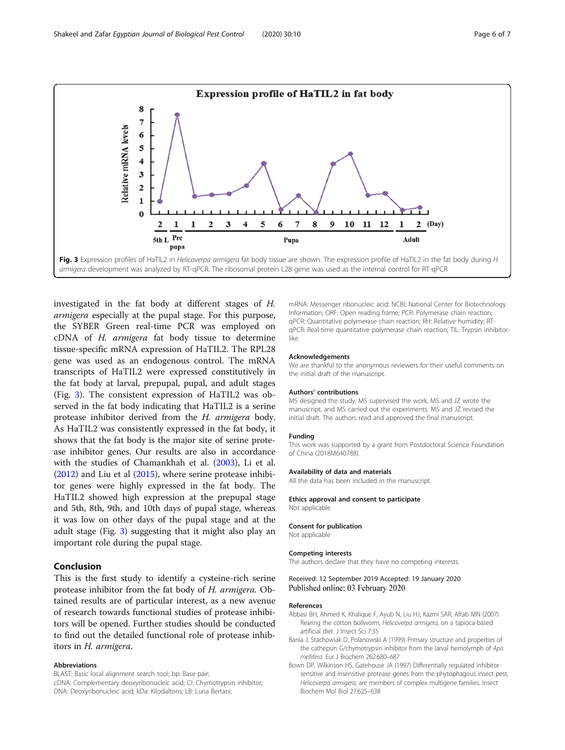<span id="page-5-0"></span>

investigated in the fat body at different stages of H. armigera especially at the pupal stage. For this purpose, the SYBER Green real-time PCR was employed on cDNA of H. armigera fat body tissue to determine tissue-specific mRNA expression of HaTIL2. The RPL28 gene was used as an endogenous control. The mRNA transcripts of HaTIL2 were expressed constitutively in the fat body at larval, prepupal, pupal, and adult stages (Fig. 3). The consistent expression of HaTIL2 was observed in the fat body indicating that HaTIL2 is a serine protease inhibitor derived from the H. armigera body. As HaTIL2 was consistently expressed in the fat body, it shows that the fat body is the major site of serine protease inhibitor genes. Our results are also in accordance with the studies of Chamankhah et al. ([2003\)](#page-6-0), Li et al. ([2012](#page-6-0)) and Liu et al ([2015](#page-6-0)), where serine protease inhibitor genes were highly expressed in the fat body. The HaTIL2 showed high expression at the prepupal stage and 5th, 8th, 9th, and 10th days of pupal stage, whereas it was low on other days of the pupal stage and at the adult stage (Fig. 3) suggesting that it might also play an important role during the pupal stage.

## Conclusion

This is the first study to identify a cysteine-rich serine protease inhibitor from the fat body of H. armigera. Obtained results are of particular interest, as a new avenue of research towards functional studies of protease inhibitors will be opened. Further studies should be conducted to find out the detailed functional role of protease inhibitors in H. armigera.

#### Abbreviations

BLAST: Basic local alignment search tool; bp: Base pair;

cDNA: Complementary deoxyribonucleic acid; CI: Chymotrypsin inhibitor; DNA: Deoxyribonucleic acid; kDa: Kilodaltons; LB: Luria Bertani;

mRNA: Messenger ribonucleic acid; NCBI: National Center for Biotechnology Information; ORF: Open reading frame; PCR: Polymerase chain reaction; qPCR: Quantitative polymerase chain reaction; RH: Relative humidity; RTqPCR: Real-time quantitative polymerase chain reaction; TIL: Trypsin inhibitorlike

#### Acknowledgements

We are thankful to the anonymous reviewers for their useful comments on the initial draft of the manuscript.

#### Authors' contributions

MS designed the study, MS supervised the work, MS and JZ wrote the manuscript, and MS carried out the experiments. MS and JZ revised the initial draft. The authors read and approved the final manuscript.

#### Funding

This work was supported by a grant from Postdoctoral Science Foundation of China (2018M640788).

#### Availability of data and materials

All the data has been included in the manuscript.

#### Ethics approval and consent to participate Not applicable

#### Consent for publication

Not applicable

#### Competing interests

The authors declare that they have no competing interests.

#### Received: 12 September 2019 Accepted: 19 January 2020 Published online: 03 February 2020

#### References

- Abbasi BH, Ahmed K, Khalique F, Ayub N, Liu HJ, Kazmi SAR, Aftab MN (2007) Rearing the cotton bollworm, Helicoverpa armigera, on a tapioca-based artificial diet. J Insect Sci 7:35
- Bania J, Stachowiak D, Polanowski A (1999) Primary structure and properties of the cathepsin G/chymotrypsin inhibitor from the larval hemolymph of Apis mellifera. Eur J Biochem 262:680–687
- Bown DP, Wilkinson HS, Gatehouse JA (1997) Differentially regulated inhibitorsensitive and insensitive protease genes from the phytophagous insect pest, Helicoverpa armigera, are members of complex multigene families. Insect Biochem Mol Biol 27:625–638